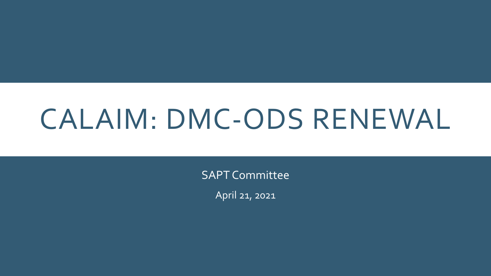# CALAIM: DMC-ODS RENEWAL

SAPT Committee

April 21, 2021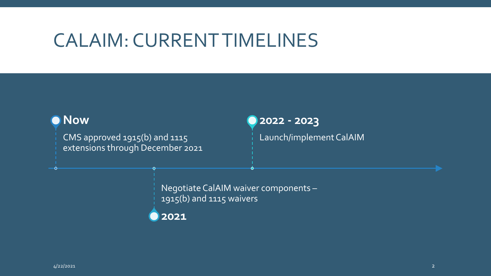### CALAIM: CURRENT TIMELINES

### **Now**

 $\circ$ 

CMS approved 1915(b) and 1115 extensions through December 2021

### **2022 - 2023**

Launch/implement CalAIM

Negotiate CalAIM waiver components – 1915(b) and 1115 waivers

**2021**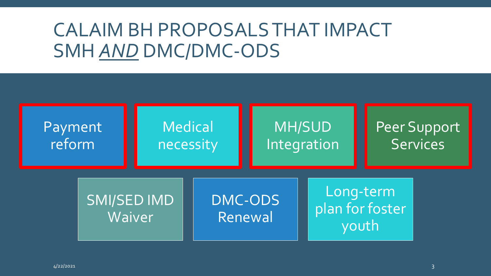## CALAIM BH PROPOSALS THAT IMPACT SMH *AND* DMC/DMC-ODS

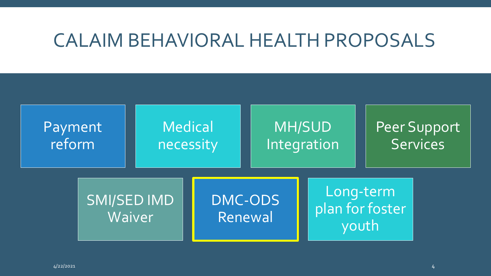### CALAIM BEHAVIORAL HEALTH PROPOSALS

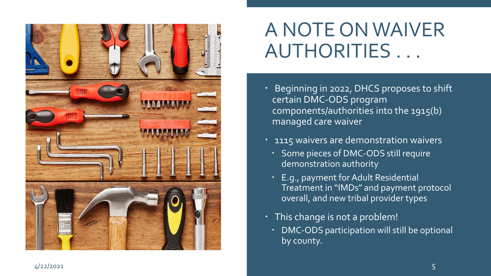

# A NOTE ON WAIVER AUTHORITIES . . .

- Beginning in 2022, DHCS proposes to shift certain DMC -ODS program components/authorities into the 1915(b) managed care waiver
- <sup>1</sup> 1115 waivers are demonstration waivers
	- Some pieces of DMC-ODS still require demonstration authority
	- E.g., payment for Adult Residential Treatment in "IMDs" and payment protocol overall, and new tribal provider types
- This change is not a problem!
	- DMC-ODS participation will still be optional by county.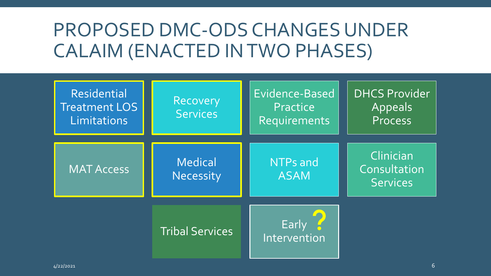# PROPOSED DMC-ODS CHANGES UNDER CALAIM (ENACTED IN TWO PHASES)

| <b>Residential</b><br><b>Treatment LOS</b><br>Limitations | Recovery<br><b>Services</b> | Evidence-Based<br>Practice<br>Requirements | <b>DHCS Provider</b><br>Appeals<br><b>Process</b> |
|-----------------------------------------------------------|-----------------------------|--------------------------------------------|---------------------------------------------------|
| <b>MAT Access</b>                                         | <b>Medical</b><br>Necessity | NTPs and<br><b>ASAM</b>                    | Clinician<br>Consultation<br><b>Services</b>      |
|                                                           | <b>Tribal Services</b>      | Early<br>Intervention                      |                                                   |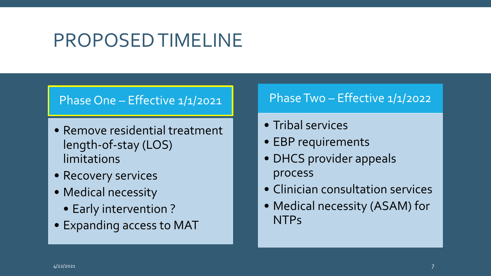### PROPOSED TIMELINE

### Phase One - Effective 1/1/2021

- Remove residential treatment length-of-stay (LOS) limitations
- Recovery services
- Medical necessity
	- Early intervention ?
- Expanding access to MAT

### Phase Two – Effective 1/1/2022

- Tribal services
- EBP requirements
- DHCS provider appeals process
- Clinician consultation services
- Medical necessity (ASAM) for NTPs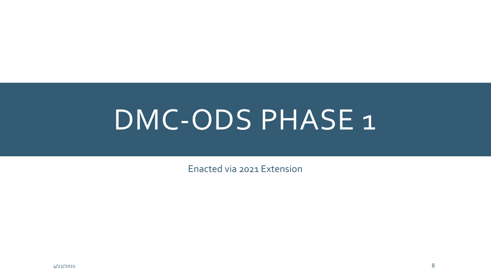# DMC-ODS PHASE 1

Enacted via 2021 Extension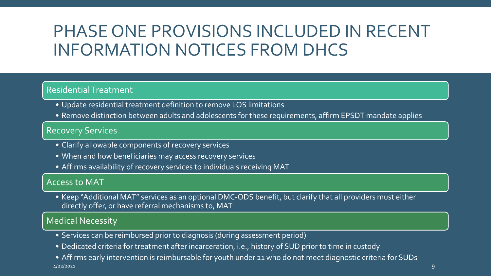### PHASE ONE PROVISIONS INCLUDED IN RECENT INFORMATION NOTICES FROM DHCS

#### Residential Treatment

- Update residential treatment definition to remove LOS limitations
- Remove distinction between adults and adolescents for these requirements, affirm EPSDT mandate applies

#### Recovery Services

- Clarify allowable components of recovery services
- When and how beneficiaries may access recovery services
- Affirms availability of recovery services to individuals receiving MAT

#### Access to MAT

• Keep "Additional MAT" services as an optional DMC-ODS benefit, but clarify that all providers must either directly offer, or have referral mechanisms to, MAT

#### Medical Necessity

- Services can be reimbursed prior to diagnosis (during assessment period)
- Dedicated criteria for treatment after incarceration, i.e., history of SUD prior to time in custody

• Affirms early intervention is reimbursable for youth under 21 who do not meet diagnostic criteria for SUDs 4/22/2021 9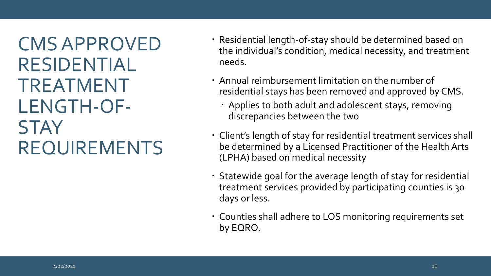CMS APPROVED RESIDENTIAL TREATMENT LENGTH-OF-**STAY** REQUIREMENTS

- Residential length-of-stay should be determined based on the individual's condition, medical necessity, and treatment needs.
- Annual reimbursement limitation on the number of residential stays has been removed and approved by CMS.
	- Applies to both adult and adolescent stays, removing discrepancies between the two
- Client's length of stay for residential treatment services shall be determined by a Licensed Practitioner of the Health Arts (LPHA) based on medical necessity
- Statewide goal for the average length of stay for residential treatment services provided by participating counties is 30 days or less.
- Counties shall adhere to LOS monitoring requirements set by EQRO.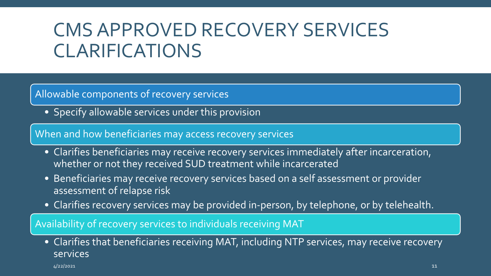# CMS APPROVED RECOVERY SERVICES CLARIFICATIONS

#### Allowable components of recovery services

• Specify allowable services under this provision

When and how beneficiaries may access recovery services

- Clarifies beneficiaries may receive recovery services immediately after incarceration, whether or not they received SUD treatment while incarcerated
- Beneficiaries may receive recovery services based on a self assessment or provider assessment of relapse risk
- Clarifies recovery services may be provided in-person, by telephone, or by telehealth.

Availability of recovery services to individuals receiving MAT

• Clarifies that beneficiaries receiving MAT, including NTP services, may receive recovery services

4/22/2021 11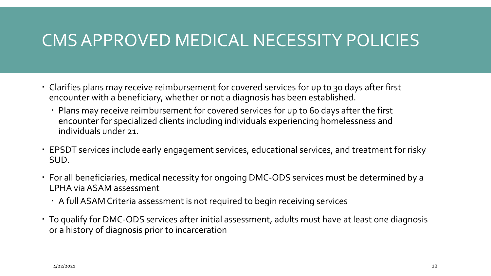### CMS APPROVED MEDICAL NECESSITY POLICIES

- Clarifies plans may receive reimbursement for covered services for up to 30 days after first encounter with a beneficiary, whether or not a diagnosis has been established.
	- Plans may receive reimbursement for covered services for up to 60 days after the first encounter for specialized clients including individuals experiencing homelessness and individuals under 21.
- EPSDT services include early engagement services, educational services, and treatment for risky SUD.
- For all beneficiaries, medical necessity for ongoing DMC-ODS services must be determined by a LPHA via ASAM assessment
	- A full ASAM Criteria assessment is not required to begin receiving services
- To qualify for DMC-ODS services after initial assessment, adults must have at least one diagnosis or a history of diagnosis prior to incarceration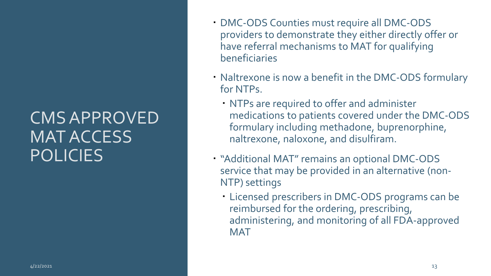### CMS APPROVED MAT ACCESS **POLICIES**

- DMC-ODS Counties must require all DMC-ODS providers to demonstrate they either directly offer or have referral mechanisms to MAT for qualifying beneficiaries
- Naltrexone is now a benefit in the DMC-ODS formulary for NTPs.
	- NTPs are required to offer and administer medications to patients covered under the DMC-ODS formulary including methadone, buprenorphine, naltrexone, naloxone, and disulfiram.
- "Additional MAT" remains an optional DMC-ODS service that may be provided in an alternative (non-NTP) settings
	- Licensed prescribers in DMC-ODS programs can be reimbursed for the ordering, prescribing, administering, and monitoring of all FDA-approved **MAT**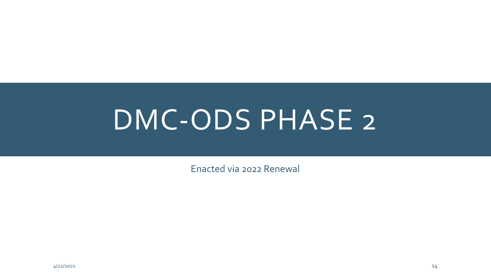# DMC-ODS PHASE 2

Enacted via 2022 Renewal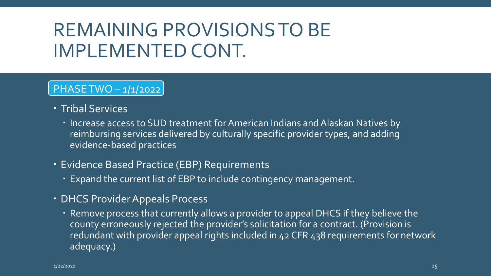## REMAINING PROVISIONS TO BE IMPLEMENTED CONT.

### PHASE TWO – 1/1/2022

- **Tribal Services** 
	- Increase access to SUD treatment for American Indians and Alaskan Natives by reimbursing services delivered by culturally specific provider types, and adding evidence-based practices
- Evidence Based Practice (EBP) Requirements
	- Expand the current list of EBP to include contingency management.
- DHCS Provider Appeals Process
	- Remove process that currently allows a provider to appeal DHCS if they believe the county erroneously rejected the provider's solicitation for a contract. (Provision is redundant with provider appeal rights included in 42 CFR 438 requirements for network adequacy.)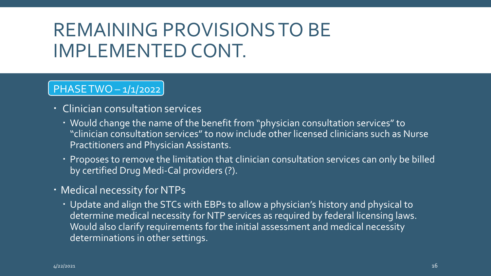## REMAINING PROVISIONS TO BE IMPLEMENTED CONT.

### PHASE TWO – 1/1/2022

- Clinician consultation services
	- Would change the name of the benefit from "physician consultation services" to "clinician consultation services" to now include other licensed clinicians such as Nurse Practitioners and Physician Assistants.
	- $\cdot$  Proposes to remove the limitation that clinician consultation services can only be billed by certified Drug Medi-Cal providers (?).
- Medical necessity for NTPs
	- Update and align the STCs with EBPs to allow a physician's history and physical to determine medical necessity for NTP services as required by federal licensing laws. Would also clarify requirements for the initial assessment and medical necessity determinations in other settings.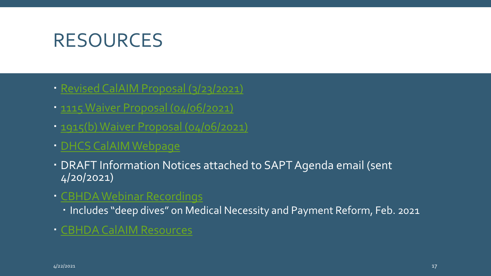### RESOURCES

- [Revised CalAIM Proposal \(3/23/2021\)](https://www.dhcs.ca.gov/provgovpart/Documents/CalAIM-Proposal-03-23-2021.pdf)
- [1115 Waiver Proposal \(04/06/2021\)](https://www.dhcs.ca.gov/provgovpart/Documents/CalAIM-1115-Waiver-Renewal-Application.pdf)
- [1915\(b\) Waiver Proposal \(04/06/2021\)](https://www.dhcs.ca.gov/provgovpart/Documents/CalAIM-1915-Waiver-Overview.pdf)
- [DHCS CalAIM Webpage](https://www.dhcs.ca.gov/provgovpart/Pages/CalAIM.aspx)
- DRAFT Information Notices attached to SAPT Agenda email (sent 4/20/2021)
- [CBHDA Webinar Recordings](https://cbhdamembers.org/members-101/committees/cbhda-webinar-recordings/)
	- Includes "deep dives" on Medical Necessity and Payment Reform, Feb. 2021
- [CBHDA CalAIM Resources](https://cbhdamembers.org/members-101/calaim/)